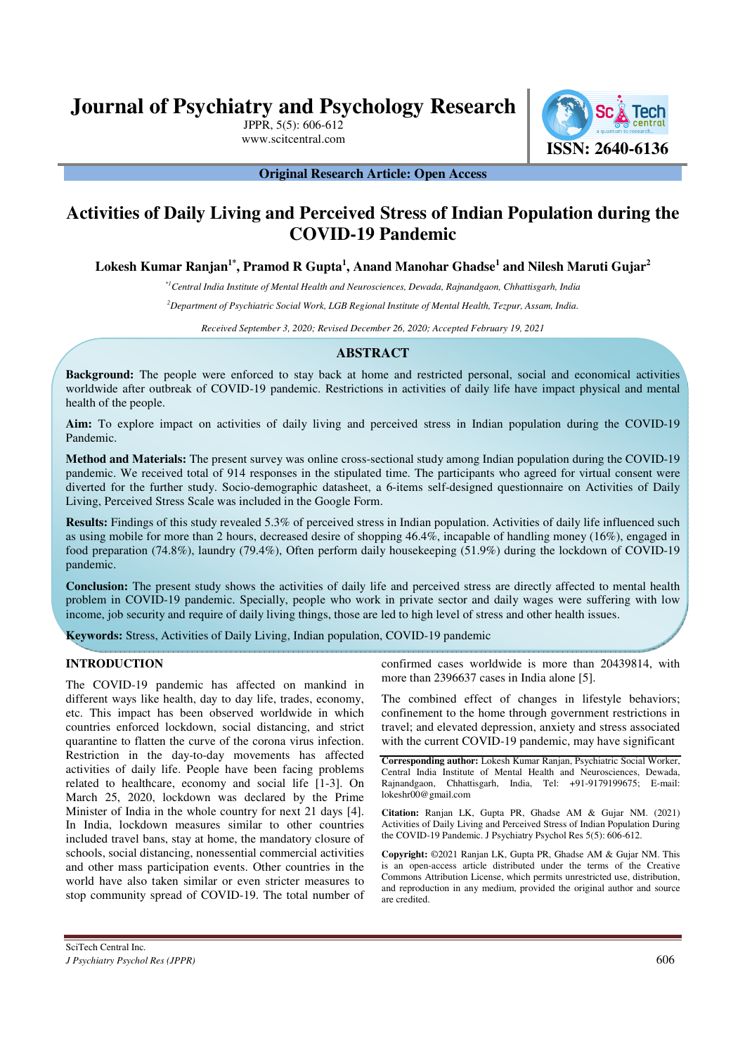**Journal of Psychiatry and Psychology Research**

JPPR, 5(5): 606-612



**Original Research Article: Open Access** 

# **Activities of Daily Living and Perceived Stress of Indian Population during the COVID-19 Pandemic**

**Lokesh Kumar Ranjan1\*, Pramod R Gupta<sup>1</sup> , Anand Manohar Ghadse<sup>1</sup> and Nilesh Maruti Gujar<sup>2</sup>**

*\*1Central India Institute of Mental Health and Neurosciences, Dewada, Rajnandgaon, Chhattisgarh, India* 

*<sup>2</sup>Department of Psychiatric Social Work, LGB Regional Institute of Mental Health, Tezpur, Assam, India.*

*Received September 3, 2020; Revised December 26, 2020; Accepted February 19, 2021*

# **ABSTRACT**

**Background:** The people were enforced to stay back at home and restricted personal, social and economical activities worldwide after outbreak of COVID-19 pandemic. Restrictions in activities of daily life have impact physical and mental health of the people.

**Aim:** To explore impact on activities of daily living and perceived stress in Indian population during the COVID-19 Pandemic.

**Method and Materials:** The present survey was online cross-sectional study among Indian population during the COVID-19 pandemic. We received total of 914 responses in the stipulated time. The participants who agreed for virtual consent were diverted for the further study. Socio-demographic datasheet, a 6-items self-designed questionnaire on Activities of Daily Living, Perceived Stress Scale was included in the Google Form.

**Results:** Findings of this study revealed 5.3% of perceived stress in Indian population. Activities of daily life influenced such as using mobile for more than 2 hours, decreased desire of shopping 46.4%, incapable of handling money (16%), engaged in food preparation (74.8%), laundry (79.4%), Often perform daily housekeeping (51.9%) during the lockdown of COVID-19 pandemic.

**Conclusion:** The present study shows the activities of daily life and perceived stress are directly affected to mental health problem in COVID-19 pandemic. Specially, people who work in private sector and daily wages were suffering with low income, job security and require of daily living things, those are led to high level of stress and other health issues.

**Keywords:** Stress, Activities of Daily Living, Indian population, COVID-19 pandemic

# **INTRODUCTION**

The COVID-19 pandemic has affected on mankind in different ways like health, day to day life, trades, economy, etc. This impact has been observed worldwide in which countries enforced lockdown, social distancing, and strict quarantine to flatten the curve of the corona virus infection. Restriction in the day-to-day movements has affected activities of daily life. People have been facing problems related to healthcare, economy and social life [1-3]. On March 25, 2020, lockdown was declared by the Prime Minister of India in the whole country for next 21 days [4]. In India, lockdown measures similar to other countries included travel bans, stay at home, the mandatory closure of schools, social distancing, nonessential commercial activities and other mass participation events. Other countries in the world have also taken similar or even stricter measures to stop community spread of COVID-19. The total number of confirmed cases worldwide is more than 20439814, with more than 2396637 cases in India alone [5].

The combined effect of changes in lifestyle behaviors; confinement to the home through government restrictions in travel; and elevated depression, anxiety and stress associated with the current COVID-19 pandemic, may have significant

**Corresponding author:** Lokesh Kumar Ranjan, Psychiatric Social Worker, Central India Institute of Mental Health and Neurosciences, Dewada, Rajnandgaon, Chhattisgarh, India, Tel: +91-9179199675; E-mail: lokeshr00@gmail.com

**Citation:** Ranjan LK, Gupta PR, Ghadse AM & Gujar NM. (2021) Activities of Daily Living and Perceived Stress of Indian Population During the COVID-19 Pandemic. J Psychiatry Psychol Res 5(5): 606-612.

**Copyright:** ©2021 Ranjan LK, Gupta PR, Ghadse AM & Gujar NM. This is an open-access article distributed under the terms of the Creative Commons Attribution License, which permits unrestricted use, distribution, and reproduction in any medium, provided the original author and source are credited.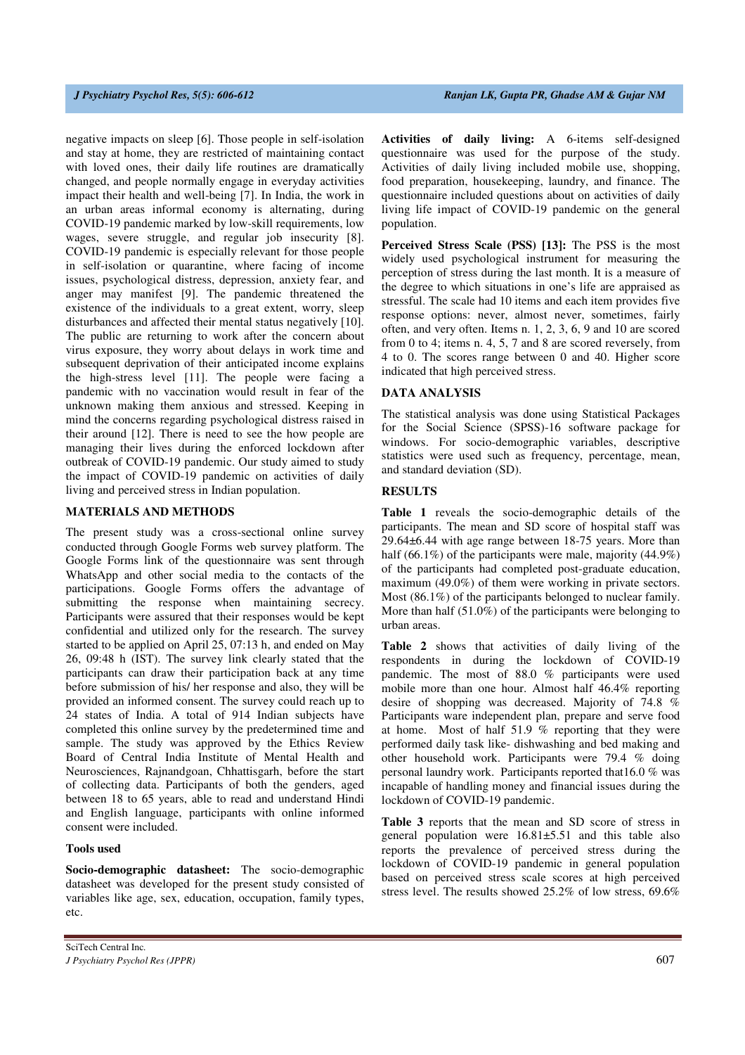negative impacts on sleep [6]. Those people in self-isolation and stay at home, they are restricted of maintaining contact with loved ones, their daily life routines are dramatically changed, and people normally engage in everyday activities impact their health and well-being [7]. In India, the work in an urban areas informal economy is alternating, during COVID-19 pandemic marked by low-skill requirements, low wages, severe struggle, and regular job insecurity [8]. COVID-19 pandemic is especially relevant for those people in self-isolation or quarantine, where facing of income issues, psychological distress, depression, anxiety fear, and anger may manifest [9]. The pandemic threatened the existence of the individuals to a great extent, worry, sleep disturbances and affected their mental status negatively [10]. The public are returning to work after the concern about virus exposure, they worry about delays in work time and subsequent deprivation of their anticipated income explains the high-stress level [11]. The people were facing a pandemic with no vaccination would result in fear of the unknown making them anxious and stressed. Keeping in mind the concerns regarding psychological distress raised in their around [12]. There is need to see the how people are managing their lives during the enforced lockdown after outbreak of COVID-19 pandemic. Our study aimed to study the impact of COVID-19 pandemic on activities of daily living and perceived stress in Indian population.

### **MATERIALS AND METHODS**

The present study was a cross-sectional online survey conducted through Google Forms web survey platform. The Google Forms link of the questionnaire was sent through WhatsApp and other social media to the contacts of the participations. Google Forms offers the advantage of submitting the response when maintaining secrecy. Participants were assured that their responses would be kept confidential and utilized only for the research. The survey started to be applied on April 25, 07:13 h, and ended on May 26, 09:48 h (IST). The survey link clearly stated that the participants can draw their participation back at any time before submission of his/ her response and also, they will be provided an informed consent. The survey could reach up to 24 states of India. A total of 914 Indian subjects have completed this online survey by the predetermined time and sample. The study was approved by the Ethics Review Board of Central India Institute of Mental Health and Neurosciences, Rajnandgoan, Chhattisgarh, before the start of collecting data. Participants of both the genders, aged between 18 to 65 years, able to read and understand Hindi and English language, participants with online informed consent were included.

### **Tools used**

**Socio-demographic datasheet:** The socio-demographic datasheet was developed for the present study consisted of variables like age, sex, education, occupation, family types, etc.

**Perceived Stress Scale (PSS) [13]:** The PSS is the most widely used psychological instrument for measuring the perception of stress during the last month. It is a measure of the degree to which situations in one's life are appraised as stressful. The scale had 10 items and each item provides five response options: never, almost never, sometimes, fairly often, and very often. Items n. 1, 2, 3, 6, 9 and 10 are scored from 0 to 4; items n. 4, 5, 7 and 8 are scored reversely, from 4 to 0. The scores range between 0 and 40. Higher score indicated that high perceived stress.

### **DATA ANALYSIS**

The statistical analysis was done using Statistical Packages for the Social Science (SPSS)-16 software package for windows. For socio-demographic variables, descriptive statistics were used such as frequency, percentage, mean, and standard deviation (SD).

### **RESULTS**

**Table 1** reveals the socio-demographic details of the participants. The mean and SD score of hospital staff was 29.64±6.44 with age range between 18-75 years. More than half (66.1%) of the participants were male, majority (44.9%) of the participants had completed post-graduate education, maximum (49.0%) of them were working in private sectors. Most (86.1%) of the participants belonged to nuclear family. More than half (51.0%) of the participants were belonging to urban areas.

**Table 2** shows that activities of daily living of the respondents in during the lockdown of COVID-19 pandemic. The most of 88.0 % participants were used mobile more than one hour. Almost half 46.4% reporting desire of shopping was decreased. Majority of 74.8 % Participants ware independent plan, prepare and serve food at home. Most of half 51.9 % reporting that they were performed daily task like- dishwashing and bed making and other household work. Participants were 79.4 % doing personal laundry work. Participants reported that16.0 % was incapable of handling money and financial issues during the lockdown of COVID-19 pandemic.

**Table 3** reports that the mean and SD score of stress in general population were 16.81±5.51 and this table also reports the prevalence of perceived stress during the lockdown of COVID-19 pandemic in general population based on perceived stress scale scores at high perceived stress level. The results showed 25.2% of low stress, 69.6%

**Activities of daily living:** A 6-items self-designed questionnaire was used for the purpose of the study. Activities of daily living included mobile use, shopping, food preparation, housekeeping, laundry, and finance. The questionnaire included questions about on activities of daily living life impact of COVID-19 pandemic on the general population.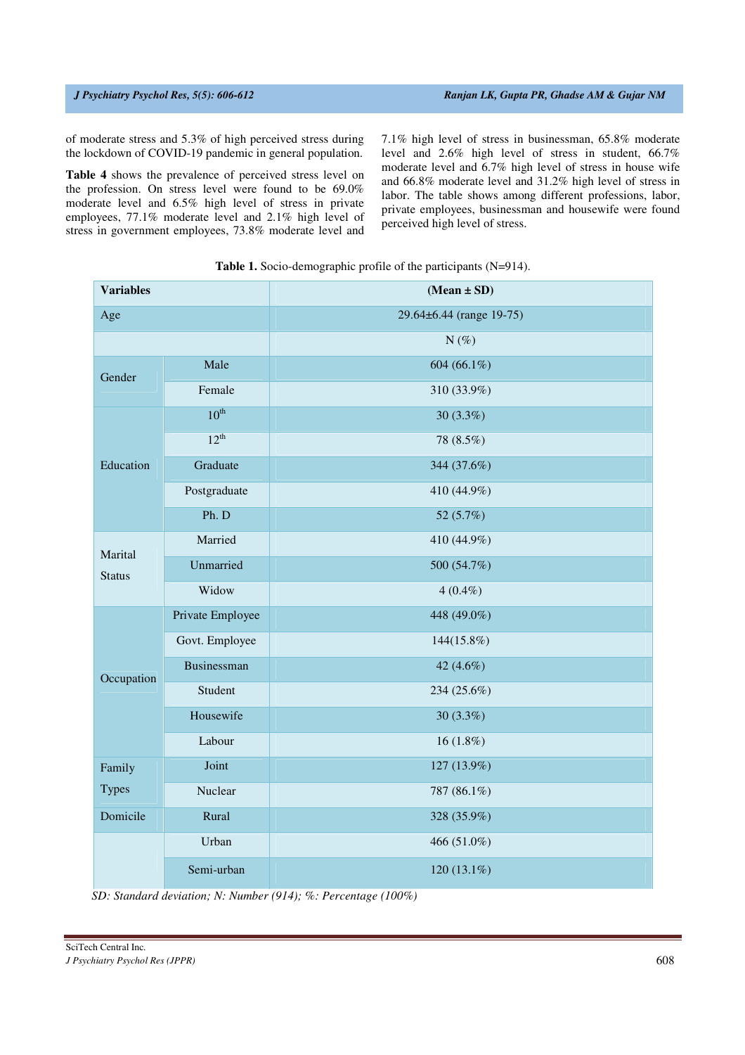of moderate stress and 5.3% of high perceived stress during the lockdown of COVID-19 pandemic in general population.

**Table 4** shows the prevalence of perceived stress level on the profession. On stress level were found to be 69.0% moderate level and 6.5% high level of stress in private employees, 77.1% moderate level and 2.1% high level of stress in government employees, 73.8% moderate level and 7.1% high level of stress in businessman, 65.8% moderate level and 2.6% high level of stress in student, 66.7% moderate level and 6.7% high level of stress in house wife and 66.8% moderate level and 31.2% high level of stress in labor. The table shows among different professions, labor, private employees, businessman and housewife were found perceived high level of stress.

| <b>Variables</b> |                    | $(Mean \pm SD)$          |  |  |  |
|------------------|--------------------|--------------------------|--|--|--|
| Age              |                    | 29.64±6.44 (range 19-75) |  |  |  |
|                  |                    | $N(\%)$                  |  |  |  |
| Gender           | Male               | 604 (66.1%)              |  |  |  |
|                  | Female             | 310 (33.9%)              |  |  |  |
| Education        | $10^{\text{th}}$   | 30 (3.3%)                |  |  |  |
|                  | $12^{th}$          | 78 (8.5%)                |  |  |  |
|                  | Graduate           | 344 (37.6%)              |  |  |  |
|                  | Postgraduate       | 410 (44.9%)              |  |  |  |
|                  | Ph. D              | 52 (5.7%)                |  |  |  |
| Marital          | Married            | 410 (44.9%)              |  |  |  |
| <b>Status</b>    | Unmarried          | 500 (54.7%)              |  |  |  |
|                  | Widow              | $4(0.4\%)$               |  |  |  |
|                  | Private Employee   | 448 (49.0%)              |  |  |  |
|                  | Govt. Employee     | 144(15.8%)               |  |  |  |
| Occupation       | <b>Businessman</b> | 42 (4.6%)                |  |  |  |
|                  | Student            | 234 (25.6%)              |  |  |  |
|                  | Housewife          | $30(3.3\%)$              |  |  |  |
|                  | Labour             | 16 $(1.8%)$              |  |  |  |
| Family           | Joint              | 127 (13.9%)              |  |  |  |
| <b>Types</b>     | Nuclear            | 787 (86.1%)              |  |  |  |
| Domicile         | Rural              | 328 (35.9%)              |  |  |  |
|                  | Urban              | 466 (51.0%)              |  |  |  |
|                  | Semi-urban         | 120 (13.1%)              |  |  |  |

**Table 1.** Socio-demographic profile of the participants (N=914).

*SD: Standard deviation; N: Number (914); %: Percentage (100%)*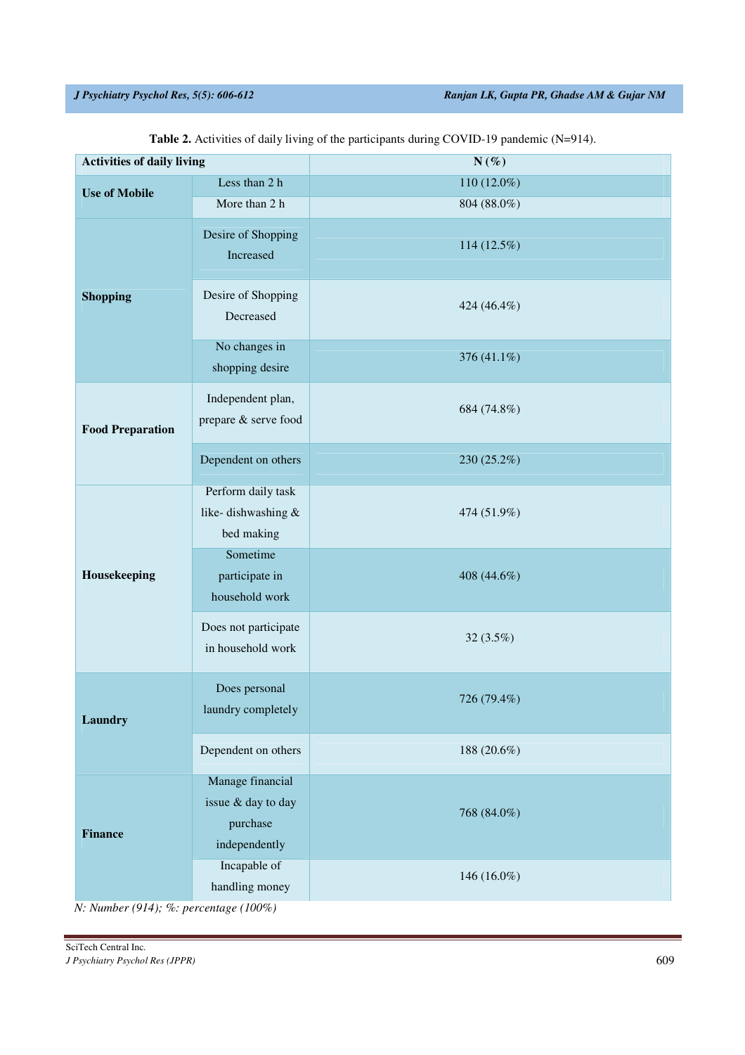| <b>Activities of daily living</b> |                                                                     | $N(\%)$     |
|-----------------------------------|---------------------------------------------------------------------|-------------|
| <b>Use of Mobile</b>              | Less than 2 h                                                       | 110 (12.0%) |
|                                   | More than 2 h                                                       | 804 (88.0%) |
|                                   | Desire of Shopping<br>Increased                                     | 114 (12.5%) |
| <b>Shopping</b>                   | Desire of Shopping<br>Decreased                                     | 424 (46.4%) |
|                                   | No changes in<br>shopping desire                                    | 376 (41.1%) |
| <b>Food Preparation</b>           | Independent plan,<br>prepare & serve food                           | 684 (74.8%) |
|                                   | Dependent on others                                                 | 230 (25.2%) |
|                                   | Perform daily task<br>like-dishwashing &<br>bed making              | 474 (51.9%) |
| Housekeeping                      | Sometime<br>participate in<br>household work                        | 408 (44.6%) |
|                                   | Does not participate<br>in household work                           | 32 (3.5%)   |
| <b>Laundry</b>                    | Does personal<br>laundry completely                                 | 726 (79.4%) |
|                                   | Dependent on others                                                 | 188 (20.6%) |
| <b>Finance</b>                    | Manage financial<br>issue & day to day<br>purchase<br>independently | 768 (84.0%) |
|                                   | Incapable of<br>handling money                                      | 146 (16.0%) |

Table 2. Activities of daily living of the participants during COVID-19 pandemic (N=914).

*N: Number (914); %: percentage (100%)*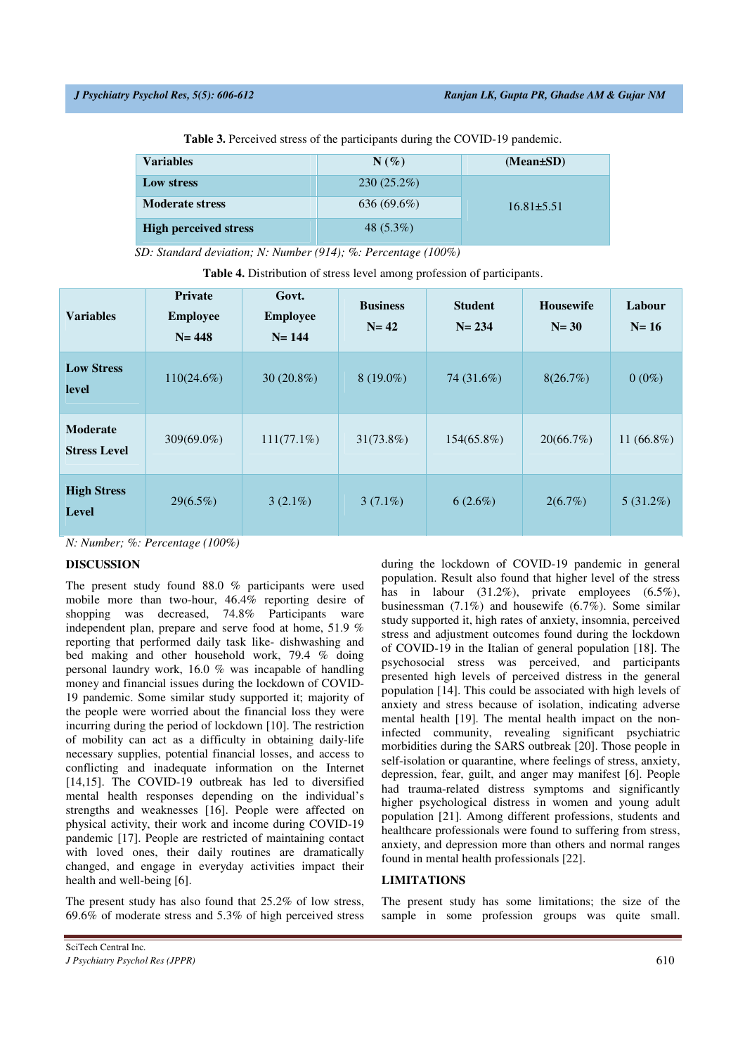**Table 3.** Perceived stress of the participants during the COVID-19 pandemic.

| <b>Variables</b>             | $N(\%)$       | (Mean±SD)        |
|------------------------------|---------------|------------------|
| Low stress                   | $230(25.2\%)$ |                  |
| <b>Moderate stress</b>       | $636(69.6\%)$ | $16.81 \pm 5.51$ |
| <b>High perceived stress</b> | 48 $(5.3\%)$  |                  |

*SD: Standard deviation; N: Number (914); %: Percentage (100%)* 

| <b>Variables</b>                   | <b>Private</b><br><b>Employee</b><br>$N = 448$ | Govt.<br><b>Employee</b><br>$N = 144$ | <b>Business</b><br>$N=42$ | <b>Student</b><br>$N = 234$ | <b>Housewife</b><br>$N=30$ | Labour<br>$N=16$ |
|------------------------------------|------------------------------------------------|---------------------------------------|---------------------------|-----------------------------|----------------------------|------------------|
| <b>Low Stress</b><br>level         | $110(24.6\%)$                                  | $30(20.8\%)$                          | $8(19.0\%)$               | 74 (31.6%)                  | 8(26.7%)                   | $0(0\%)$         |
| Moderate<br><b>Stress Level</b>    | $309(69.0\%)$                                  | $111(77.1\%)$                         | $31(73.8\%)$              | 154(65.8%)                  | 20(66.7%)                  | 11 $(66.8\%)$    |
| <b>High Stress</b><br><b>Level</b> | $29(6.5\%)$                                    | $3(2.1\%)$                            | $3(7.1\%)$                | $6(2.6\%)$                  | $2(6.7\%)$                 | $5(31.2\%)$      |

**Table 4.** Distribution of stress level among profession of participants.

*N: Number; %: Percentage (100%)* 

# **DISCUSSION**

The present study found 88.0 % participants were used mobile more than two-hour, 46.4% reporting desire of shopping was decreased, 74.8% Participants ware independent plan, prepare and serve food at home, 51.9 % reporting that performed daily task like- dishwashing and bed making and other household work, 79.4 % doing personal laundry work, 16.0 % was incapable of handling money and financial issues during the lockdown of COVID-19 pandemic. Some similar study supported it; majority of the people were worried about the financial loss they were incurring during the period of lockdown [10]. The restriction of mobility can act as a difficulty in obtaining daily-life necessary supplies, potential financial losses, and access to conflicting and inadequate information on the Internet [14,15]. The COVID-19 outbreak has led to diversified mental health responses depending on the individual's strengths and weaknesses [16]. People were affected on physical activity, their work and income during COVID-19 pandemic [17]. People are restricted of maintaining contact with loved ones, their daily routines are dramatically changed, and engage in everyday activities impact their health and well-being [6].

The present study has also found that 25.2% of low stress, 69.6% of moderate stress and 5.3% of high perceived stress during the lockdown of COVID-19 pandemic in general population. Result also found that higher level of the stress has in labour (31.2%), private employees (6.5%), businessman (7.1%) and housewife (6.7%). Some similar study supported it, high rates of anxiety, insomnia, perceived stress and adjustment outcomes found during the lockdown of COVID-19 in the Italian of general population [18]. The psychosocial stress was perceived, and participants presented high levels of perceived distress in the general population [14]. This could be associated with high levels of anxiety and stress because of isolation, indicating adverse mental health [19]. The mental health impact on the noninfected community, revealing significant psychiatric morbidities during the SARS outbreak [20]. Those people in self-isolation or quarantine, where feelings of stress, anxiety, depression, fear, guilt, and anger may manifest [6]. People had trauma-related distress symptoms and significantly higher psychological distress in women and young adult population [21]. Among different professions, students and healthcare professionals were found to suffering from stress, anxiety, and depression more than others and normal ranges found in mental health professionals [22].

# **LIMITATIONS**

The present study has some limitations; the size of the sample in some profession groups was quite small.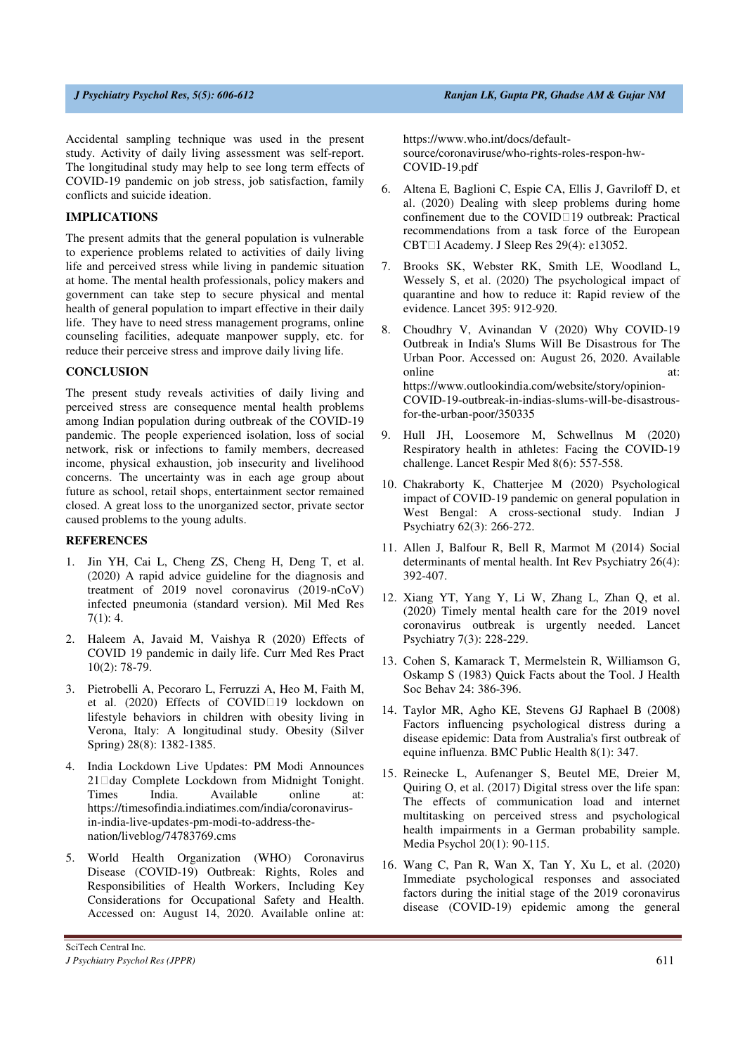Accidental sampling technique was used in the present study. Activity of daily living assessment was self-report. The longitudinal study may help to see long term effects of COVID-19 pandemic on job stress, job satisfaction, family conflicts and suicide ideation.

### **IMPLICATIONS**

The present admits that the general population is vulnerable to experience problems related to activities of daily living life and perceived stress while living in pandemic situation at home. The mental health professionals, policy makers and government can take step to secure physical and mental health of general population to impart effective in their daily life. They have to need stress management programs, online counseling facilities, adequate manpower supply, etc. for reduce their perceive stress and improve daily living life.

### **CONCLUSION**

The present study reveals activities of daily living and perceived stress are consequence mental health problems among Indian population during outbreak of the COVID-19 pandemic. The people experienced isolation, loss of social network, risk or infections to family members, decreased income, physical exhaustion, job insecurity and livelihood concerns. The uncertainty was in each age group about future as school, retail shops, entertainment sector remained closed. A great loss to the unorganized sector, private sector caused problems to the young adults.

### **REFERENCES**

- 1. Jin YH, Cai L, Cheng ZS, Cheng H, Deng T, et al. (2020) A rapid advice guideline for the diagnosis and treatment of 2019 novel coronavirus (2019-nCoV) infected pneumonia (standard version). Mil Med Res 7(1): 4.
- 2. Haleem A, Javaid M, Vaishya R (2020) Effects of COVID 19 pandemic in daily life. Curr Med Res Pract 10(2): 78-79.
- 3. Pietrobelli A, Pecoraro L, Ferruzzi A, Heo M, Faith M, et al. (2020) Effects of COVID 19 lockdown on lifestyle behaviors in children with obesity living in Verona, Italy: A longitudinal study. Obesity (Silver Spring) 28(8): 1382-1385.
- 4. India Lockdown Live Updates: PM Modi Announces 21 day Complete Lockdown from Midnight Tonight. Times India. Available online at: https://timesofindia.indiatimes.com/india/coronavirusin-india-live-updates-pm-modi-to-address-thenation/liveblog/74783769.cms
- 5. World Health Organization (WHO) Coronavirus Disease (COVID-19) Outbreak: Rights, Roles and Responsibilities of Health Workers, Including Key Considerations for Occupational Safety and Health. Accessed on: August 14, 2020. Available online at:

https://www.who.int/docs/defaultsource/coronaviruse/who-rights-roles-respon-hw-COVID-19.pdf

- 6. Altena E, Baglioni C, Espie CA, Ellis J, Gavriloff D, et al. (2020) Dealing with sleep problems during home confinement due to the COVID 19 outbreak: Practical recommendations from a task force of the European CBT I Academy. J Sleep Res 29(4): e13052.
- 7. Brooks SK, Webster RK, Smith LE, Woodland L, Wessely S, et al. (2020) The psychological impact of quarantine and how to reduce it: Rapid review of the evidence. Lancet 395: 912-920.
- 8. Choudhry V, Avinandan V (2020) Why COVID-19 Outbreak in India's Slums Will Be Disastrous for The Urban Poor. Accessed on: August 26, 2020. Available online at: https://www.outlookindia.com/website/story/opinion-COVID-19-outbreak-in-indias-slums-will-be-disastrousfor-the-urban-poor/350335
- 9. Hull JH, Loosemore M, Schwellnus M (2020) Respiratory health in athletes: Facing the COVID-19 challenge. Lancet Respir Med 8(6): 557-558.
- 10. Chakraborty K, Chatterjee M (2020) Psychological impact of COVID-19 pandemic on general population in West Bengal: A cross-sectional study. Indian J Psychiatry 62(3): 266-272.
- 11. Allen J, Balfour R, Bell R, Marmot M (2014) Social determinants of mental health. Int Rev Psychiatry 26(4): 392-407.
- 12. Xiang YT, Yang Y, Li W, Zhang L, Zhan Q, et al. (2020) Timely mental health care for the 2019 novel coronavirus outbreak is urgently needed. Lancet Psychiatry 7(3): 228-229.
- 13. Cohen S, Kamarack T, Mermelstein R, Williamson G, Oskamp S (1983) Quick Facts about the Tool. J Health Soc Behav 24: 386-396.
- 14. Taylor MR, Agho KE, Stevens GJ Raphael B (2008) Factors influencing psychological distress during a disease epidemic: Data from Australia's first outbreak of equine influenza. BMC Public Health 8(1): 347.
- 15. Reinecke L, Aufenanger S, Beutel ME, Dreier M, Quiring O, et al. (2017) Digital stress over the life span: The effects of communication load and internet multitasking on perceived stress and psychological health impairments in a German probability sample. Media Psychol 20(1): 90-115.
- 16. Wang C, Pan R, Wan X, Tan Y, Xu L, et al. (2020) Immediate psychological responses and associated factors during the initial stage of the 2019 coronavirus disease (COVID-19) epidemic among the general